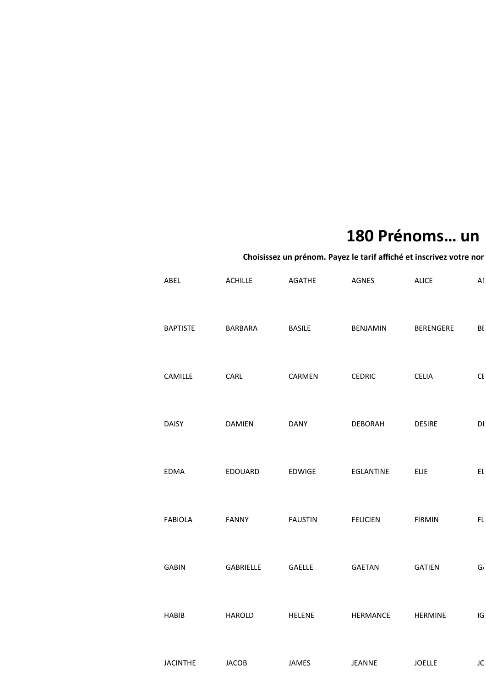## 180 Prénoms... un

## ABEL ACHILLE AGATHE AGNES ALICE AMAURY BAPTISTE BARBARA BASILE BENJAMIN BERENGERE BETTISTE CAMILLE CARL CARMEN CEDRIC CELIA CI DAISY DAMIEN DANY DEBORAH DESIRE DI EDMA EDOUARD EDWIGE EGLANTINE ELIE EI FABIOLA FANNY FAUSTIN FELICIEN FIRMIN FL GABIN GABRIELLE GAELLE GAETAN GATIEN G. HABIB HAROLD HELENE HERMANCE HERMINE IG JACINTHE JACOB JAMES JEANNE JOELLE JC Choisissez un prénom. Payez le tarif affiché et inscrivez votre nor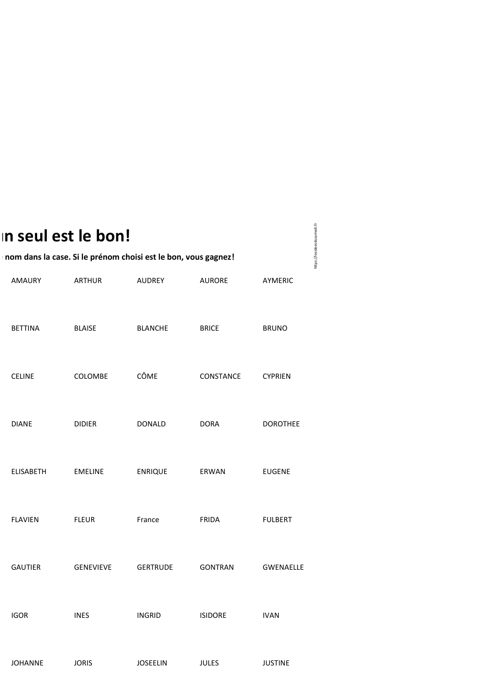## **… un seul est le bon!**

## nom dans la case. Si le prénom choisi est le bon, vous gagnez!

| <b>AMAURY</b>    | <b>ARTHUR</b>    | <b>AUDREY</b>   | <b>AURORE</b>  | AYMERIC          |
|------------------|------------------|-----------------|----------------|------------------|
| <b>BETTINA</b>   | <b>BLAISE</b>    | <b>BLANCHE</b>  | <b>BRICE</b>   | <b>BRUNO</b>     |
| <b>CELINE</b>    | COLOMBE          | CÔME            | CONSTANCE      | <b>CYPRIEN</b>   |
| <b>DIANE</b>     | <b>DIDIER</b>    | <b>DONALD</b>   | <b>DORA</b>    | <b>DOROTHEE</b>  |
| <b>ELISABETH</b> | <b>EMELINE</b>   | <b>ENRIQUE</b>  | ERWAN          | <b>EUGENE</b>    |
| <b>FLAVIEN</b>   | <b>FLEUR</b>     | France          | <b>FRIDA</b>   | <b>FULBERT</b>   |
| <b>GAUTIER</b>   | <b>GENEVIEVE</b> | <b>GERTRUDE</b> | <b>GONTRAN</b> | <b>GWENAELLE</b> |
| <b>IGOR</b>      | <b>INES</b>      | <b>INGRID</b>   | <b>ISIDORE</b> | <b>IVAN</b>      |
| <b>JOHANNE</b>   | <b>JORIS</b>     | <b>JOSEELIN</b> | <b>JULES</b>   | <b>JUSTINE</b>   |

https://lesideesdusamedi.fr https://lesideesdusamedi.fr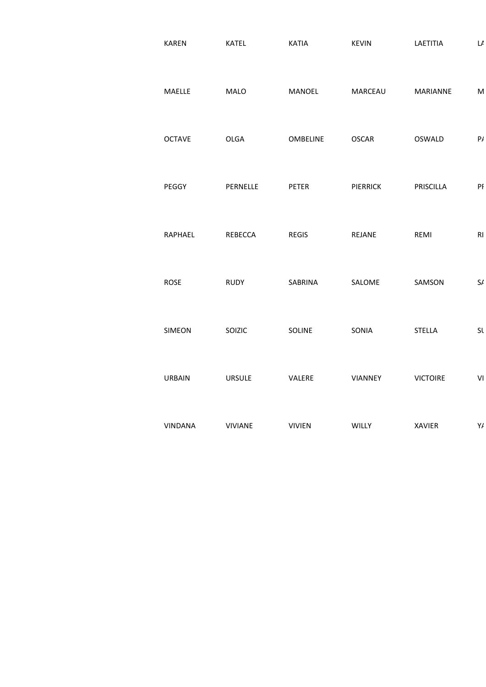| <b>KAREN</b>   | <b>KATEL</b>   | <b>KATIA</b>  | <b>KEVIN</b>    | LAETITIA        | $\mathsf{L}\mathsf{L}$ |
|----------------|----------------|---------------|-----------------|-----------------|------------------------|
| MAELLE         | MALO           | MANOEL        | MARCEAU         | MARIANNE        | ${\sf M}$              |
| <b>OCTAVE</b>  | <b>OLGA</b>    | OMBELINE      | <b>OSCAR</b>    | OSWALD          | P/                     |
| PEGGY          | PERNELLE       | PETER         | <b>PIERRICK</b> | PRISCILLA       | PI                     |
| RAPHAEL        | REBECCA        | <b>REGIS</b>  | REJANE          | REMI            | RI                     |
| <b>ROSE</b>    | <b>RUDY</b>    | SABRINA       | SALOME          | SAMSON          | $\mathsf{S}/\!\!$      |
| SIMEON         | SOIZIC         | SOLINE        | SONIA           | <b>STELLA</b>   | Sl                     |
| <b>URBAIN</b>  | <b>URSULE</b>  | VALERE        | VIANNEY         | <b>VICTOIRE</b> | VI                     |
| <b>VINDANA</b> | <b>VIVIANE</b> | <b>VIVIEN</b> | WILLY           | <b>XAVIER</b>   | Y/                     |